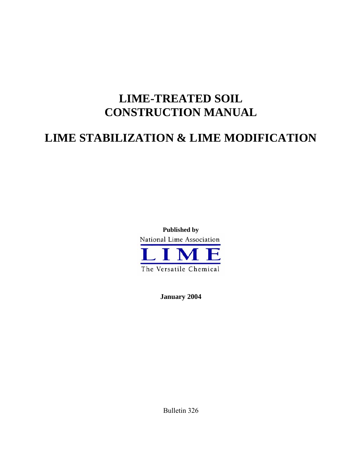# **LIME-TREATED SOIL CONSTRUCTION MANUAL**

# **LIME STABILIZATION & LIME MODIFICATION**



**January 2004** 

Bulletin 326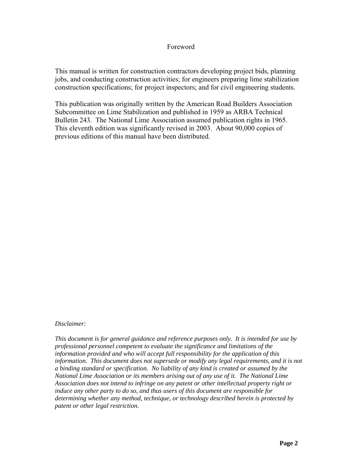#### Foreword

This manual is written for construction contractors developing project bids, planning jobs, and conducting construction activities; for engineers preparing lime stabilization construction specifications; for project inspectors; and for civil engineering students.

This publication was originally written by the American Road Builders Association Subcommittee on Lime Stabilization and published in 1959 as ARBA Technical Bulletin 243. The National Lime Association assumed publication rights in 1965. This eleventh edition was significantly revised in 2003. About 90,000 copies of previous editions of this manual have been distributed.

#### *Disclaimer:*

*This document is for general guidance and reference purposes only. It is intended for use by professional personnel competent to evaluate the significance and limitations of the information provided and who will accept full responsibility for the application of this information. This document does not supersede or modify any legal requirements, and it is not a binding standard or specification. No liability of any kind is created or assumed by the National Lime Association or its members arising out of any use of it. The National Lime Association does not intend to infringe on any patent or other intellectual property right or induce any other party to do so, and thus users of this document are responsible for determining whether any method, technique, or technology described herein is protected by patent or other legal restriction.*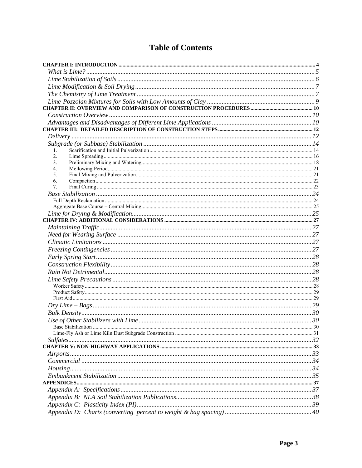## **Table of Contents**

| 1.             |  |
|----------------|--|
| 2.             |  |
| 3 <sub>1</sub> |  |
| 4.             |  |
| 5.<br>6.       |  |
| $7_{\cdot}$    |  |
|                |  |
|                |  |
|                |  |
|                |  |
|                |  |
|                |  |
|                |  |
|                |  |
|                |  |
|                |  |
|                |  |
|                |  |
|                |  |
|                |  |
|                |  |
|                |  |
|                |  |
|                |  |
|                |  |
|                |  |
|                |  |
|                |  |
|                |  |
|                |  |
|                |  |
|                |  |
|                |  |
|                |  |
|                |  |
|                |  |
|                |  |
|                |  |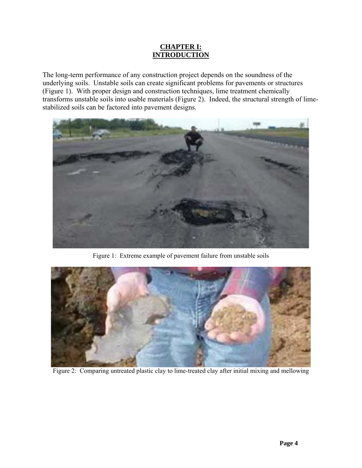#### **CHAPTER I: INTRODUCTION**

<span id="page-3-0"></span>The long-term performance of any construction project depends on the soundness of the underlying soils. Unstable soils can create significant problems for pavements or structures (Figure 1). With proper design and construction techniques, lime treatment chemically transforms unstable soils into usable materials (Figure 2). Indeed, the structural strength of limestabilized soils can be factored into pavement designs.



Figure 1: Extreme example of pavement failure from unstable soils



Figure 2: Comparing untreated plastic clay to lime-treated clay after initial mixing and mellowing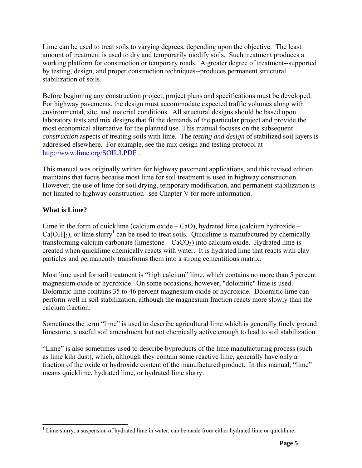<span id="page-4-0"></span>Lime can be used to treat soils to varying degrees, depending upon the objective. The least amount of treatment is used to dry and temporarily modify soils. Such treatment produces a working platform for construction or temporary roads. A greater degree of treatment--supported by testing, design, and proper construction techniques--produces permanent structural stabilization of soils.

Before beginning any construction project, project plans and specifications must be developed. For highway pavements, the design must accommodate expected traffic volumes along with environmental, site, and material conditions. All structural designs should be based upon laboratory tests and mix designs that fit the demands of the particular project and provide the most economical alternative for the planned use. This manual focuses on the subsequent *construction* aspects of treating soils with lime. The *testing and design* of stabilized soil layers is addressed elsewhere. For example, see the mix design and testing protocol at <http://www.lime.org/SOIL3.PDF>.

This manual was originally written for highway pavement applications, and this revised edition maintains that focus because most lime for soil treatment is used in highway construction. However, the use of lime for soil drying, temporary modification, and permanent stabilization is not limited to highway construction--see Chapter V for more information.

## **What is Lime?**

Lime in the form of quicklime (calcium oxide  $-$  CaO), hydrated lime (calcium hydroxide  $Ca[OH]_2$ ), or lime slurry<sup>1</sup> can be used to treat soils. Quicklime is manufactured by chemically transforming calcium carbonate (limestone  $-$  CaCO<sub>3</sub>) into calcium oxide. Hydrated lime is created when quicklime chemically reacts with water. It is hydrated lime that reacts with clay particles and permanently transforms them into a strong cementitious matrix.

Most lime used for soil treatment is "high calcium" lime, which contains no more than 5 percent magnesium oxide or hydroxide. On some occasions, however, "dolomitic" lime is used. Dolomitic lime contains 35 to 46 percent magnesium oxide or hydroxide. Dolomitic lime can perform well in soil stabilization, although the magnesium fraction reacts more slowly than the calcium fraction.

Sometimes the term "lime" is used to describe agricultural lime which is generally finely ground limestone, a useful soil amendment but not chemically active enough to lead to soil stabilization.

"Lime" is also sometimes used to describe byproducts of the lime manufacturing process (such as lime kiln dust), which, although they contain some reactive lime, generally have only a fraction of the oxide or hydroxide content of the manufactured product. In this manual, "lime" means quicklime, hydrated lime, or hydrated lime slurry.

<span id="page-4-1"></span><sup>&</sup>lt;sup>1</sup> Lime slurry, a suspension of hydrated lime in water, can be made from either hydrated lime or quicklime.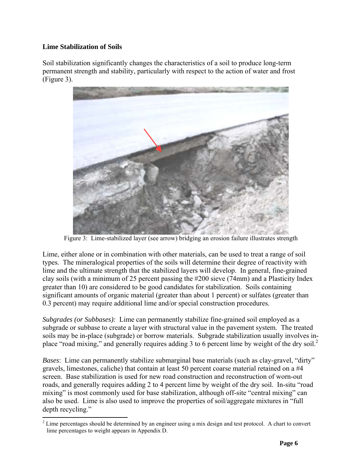## <span id="page-5-0"></span>**Lime Stabilization of Soils**

Soil stabilization significantly changes the characteristics of a soil to produce long-term permanent strength and stability, particularly with respect to the action of water and frost (Figure 3).



Figure 3: Lime-stabilized layer (see arrow) bridging an erosion failure illustrates strength

Lime, either alone or in combination with other materials, can be used to treat a range of soil types. The mineralogical properties of the soils will determine their degree of reactivity with lime and the ultimate strength that the stabilized layers will develop. In general, fine-grained clay soils (with a minimum of 25 percent passing the #200 sieve (74mm) and a Plasticity Index greater than 10) are considered to be good candidates for stabilization. Soils containing significant amounts of organic material (greater than about 1 percent) or sulfates (greater than 0.3 percent) may require additional lime and/or special construction procedures.

*Subgrades (or Subbases):* Lime can permanently stabilize fine-grained soil employed as a subgrade or subbase to create a layer with structural value in the pavement system. The treated soils may be in-place (subgrade) or borrow materials. Subgrade stabilization usually involves in-place "road mixing," and generally requires adding 3 to 6 percent lime by weight of the dry soil.<sup>[2](#page-5-1)</sup>

*Bases*: Lime can permanently stabilize submarginal base materials (such as clay-gravel, "dirty" gravels, limestones, caliche) that contain at least 50 percent coarse material retained on a #4 screen. Base stabilization is used for new road construction and reconstruction of worn-out roads, and generally requires adding 2 to 4 percent lime by weight of the dry soil. In-situ "road mixing" is most commonly used for base stabilization, although off-site "central mixing" can also be used. Lime is also used to improve the properties of soil/aggregate mixtures in "full depth recycling."

<span id="page-5-1"></span><sup>&</sup>lt;sup>2</sup> Lime percentages should be determined by an engineer using a mix design and test protocol. A chart to convert lime percentages to weight appears in Appendix D.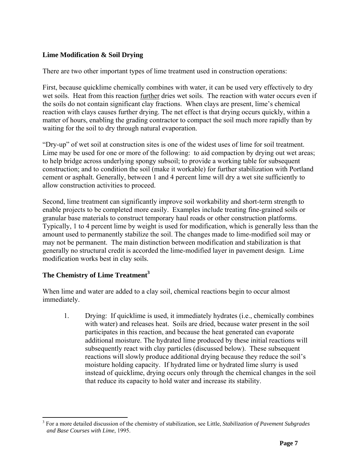## <span id="page-6-0"></span>**Lime Modification & Soil Drying**

There are two other important types of lime treatment used in construction operations:

First, because quicklime chemically combines with water, it can be used very effectively to dry wet soils. Heat from this reaction further dries wet soils. The reaction with water occurs even if the soils do not contain significant clay fractions. When clays are present, lime's chemical reaction with clays causes further drying. The net effect is that drying occurs quickly, within a matter of hours, enabling the grading contractor to compact the soil much more rapidly than by waiting for the soil to dry through natural evaporation.

"Dry-up" of wet soil at construction sites is one of the widest uses of lime for soil treatment. Lime may be used for one or more of the following: to aid compaction by drying out wet areas; to help bridge across underlying spongy subsoil; to provide a working table for subsequent construction; and to condition the soil (make it workable) for further stabilization with Portland cement or asphalt. Generally, between 1 and 4 percent lime will dry a wet site sufficiently to allow construction activities to proceed.

Second, lime treatment can significantly improve soil workability and short-term strength to enable projects to be completed more easily. Examples include treating fine-grained soils or granular base materials to construct temporary haul roads or other construction platforms. Typically, 1 to 4 percent lime by weight is used for modification, which is generally less than the amount used to permanently stabilize the soil. The changes made to lime-modified soil may or may not be permanent. The main distinction between modification and stabilization is that generally no structural credit is accorded the lime-modified layer in pavement design. Lime modification works best in clay soils.

## **The Chemistry of Lime Treatment [3](#page-6-1)**

When lime and water are added to a clay soil, chemical reactions begin to occur almost immediately.

1. Drying: If quicklime is used, it immediately hydrates (i.e., chemically combines with water) and releases heat. Soils are dried, because water present in the soil participates in this reaction, and because the heat generated can evaporate additional moisture. The hydrated lime produced by these initial reactions will subsequently react with clay particles (discussed below). These subsequent reactions will slowly produce additional drying because they reduce the soil's moisture holding capacity. If hydrated lime or hydrated lime slurry is used instead of quicklime, drying occurs only through the chemical changes in the soil that reduce its capacity to hold water and increase its stability.

<span id="page-6-1"></span><sup>&</sup>lt;sup>3</sup> For a more detailed discussion of the chemistry of stabilization, see Little, *Stabilization of Pavement Subgrades and Base Courses with Lime*, 1995.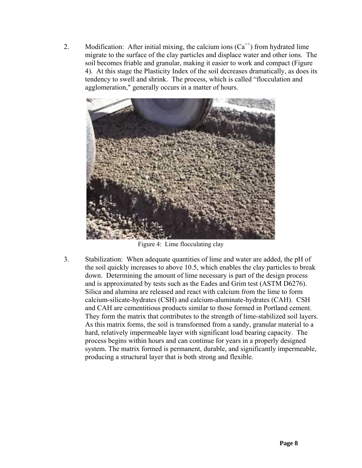2. Modification: After initial mixing, the calcium ions  $(Ca^{++})$  from hydrated lime migrate to the surface of the clay particles and displace water and other ions. The soil becomes friable and granular, making it easier to work and compact (Figure 4). At this stage the Plasticity Index of the soil decreases dramatically, as does its tendency to swell and shrink. The process, which is called "flocculation and agglomeration," generally occurs in a matter of hours.



Figure 4: Lime flocculating clay

3. Stabilization: When adequate quantities of lime and water are added, the pH of the soil quickly increases to above 10.5, which enables the clay particles to break down. Determining the amount of lime necessary is part of the design process and is approximated by tests such as the Eades and Grim test (ASTM D6276). Silica and alumina are released and react with calcium from the lime to form calcium-silicate-hydrates (CSH) and calcium-aluminate-hydrates (CAH). CSH and CAH are cementitious products similar to those formed in Portland cement. They form the matrix that contributes to the strength of lime-stabilized soil layers. As this matrix forms, the soil is transformed from a sandy, granular material to a hard, relatively impermeable layer with significant load bearing capacity. The process begins within hours and can continue for years in a properly designed system. The matrix formed is permanent, durable, and significantly impermeable, producing a structural layer that is both strong and flexible.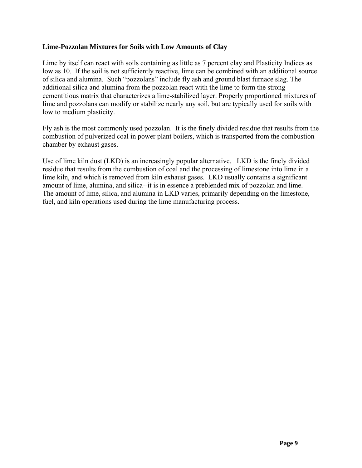#### <span id="page-8-0"></span>**Lime-Pozzolan Mixtures for Soils with Low Amounts of Clay**

Lime by itself can react with soils containing as little as 7 percent clay and Plasticity Indices as low as 10. If the soil is not sufficiently reactive, lime can be combined with an additional source of silica and alumina. Such "pozzolans" include fly ash and ground blast furnace slag. The additional silica and alumina from the pozzolan react with the lime to form the strong cementitious matrix that characterizes a lime-stabilized layer. Properly proportioned mixtures of lime and pozzolans can modify or stabilize nearly any soil, but are typically used for soils with low to medium plasticity.

Fly ash is the most commonly used pozzolan. It is the finely divided residue that results from the combustion of pulverized coal in power plant boilers, which is transported from the combustion chamber by exhaust gases.

Use of lime kiln dust (LKD) is an increasingly popular alternative. LKD is the finely divided residue that results from the combustion of coal and the processing of limestone into lime in a lime kiln, and which is removed from kiln exhaust gases. LKD usually contains a significant amount of lime, alumina, and silica--it is in essence a preblended mix of pozzolan and lime. The amount of lime, silica, and alumina in LKD varies, primarily depending on the limestone, fuel, and kiln operations used during the lime manufacturing process.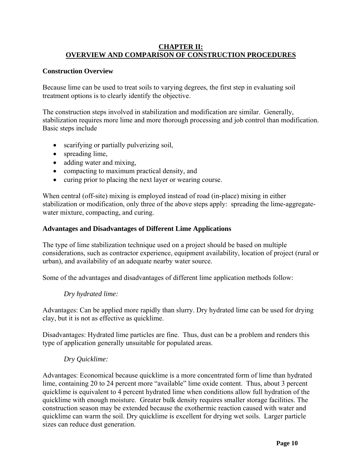#### <span id="page-9-0"></span>**CHAPTER II: OVERVIEW AND COMPARISON OF CONSTRUCTION PROCEDURES**

#### **Construction Overview**

Because lime can be used to treat soils to varying degrees, the first step in evaluating soil treatment options is to clearly identify the objective.

The construction steps involved in stabilization and modification are similar. Generally, stabilization requires more lime and more thorough processing and job control than modification. Basic steps include

- scarifying or partially pulverizing soil,
- spreading lime,
- adding water and mixing,
- compacting to maximum practical density, and
- curing prior to placing the next layer or wearing course.

When central (off-site) mixing is employed instead of road (in-place) mixing in either stabilization or modification, only three of the above steps apply: spreading the lime-aggregatewater mixture, compacting, and curing.

#### **Advantages and Disadvantages of Different Lime Applications**

The type of lime stabilization technique used on a project should be based on multiple considerations, such as contractor experience, equipment availability, location of project (rural or urban), and availability of an adequate nearby water source.

Some of the advantages and disadvantages of different lime application methods follow:

#### *Dry hydrated lime:*

Advantages: Can be applied more rapidly than slurry. Dry hydrated lime can be used for drying clay, but it is not as effective as quicklime.

Disadvantages: Hydrated lime particles are fine. Thus, dust can be a problem and renders this type of application generally unsuitable for populated areas.

#### *Dry Quicklime:*

Advantages: Economical because quicklime is a more concentrated form of lime than hydrated lime, containing 20 to 24 percent more "available" lime oxide content. Thus, about 3 percent quicklime is equivalent to 4 percent hydrated lime when conditions allow full hydration of the quicklime with enough moisture. Greater bulk density requires smaller storage facilities. The construction season may be extended because the exothermic reaction caused with water and quicklime can warm the soil. Dry quicklime is excellent for drying wet soils. Larger particle sizes can reduce dust generation.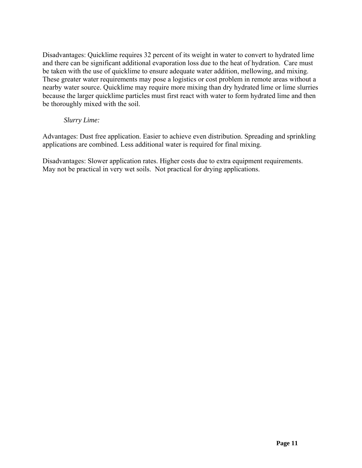Disadvantages: Quicklime requires 32 percent of its weight in water to convert to hydrated lime and there can be significant additional evaporation loss due to the heat of hydration. Care must be taken with the use of quicklime to ensure adequate water addition, mellowing, and mixing. These greater water requirements may pose a logistics or cost problem in remote areas without a nearby water source. Quicklime may require more mixing than dry hydrated lime or lime slurries because the larger quicklime particles must first react with water to form hydrated lime and then be thoroughly mixed with the soil.

#### *Slurry Lime:*

Advantages: Dust free application. Easier to achieve even distribution. Spreading and sprinkling applications are combined. Less additional water is required for final mixing.

Disadvantages: Slower application rates. Higher costs due to extra equipment requirements. May not be practical in very wet soils. Not practical for drying applications.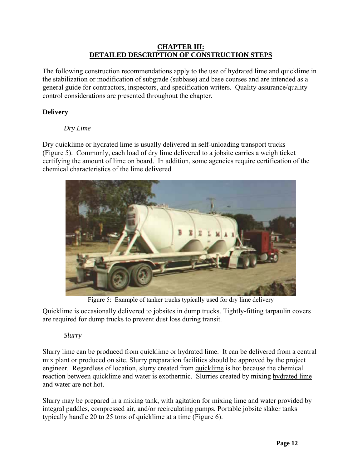#### **CHAPTER III: DETAILED DESCRIPTION OF CONSTRUCTION STEPS**

<span id="page-11-0"></span>The following construction recommendations apply to the use of hydrated lime and quicklime in the stabilization or modification of subgrade (subbase) and base courses and are intended as a general guide for contractors, inspectors, and specification writers. Quality assurance/quality control considerations are presented throughout the chapter.

## **Delivery**

#### *Dry Lime*

Dry quicklime or hydrated lime is usually delivered in self-unloading transport trucks (Figure 5). Commonly, each load of dry lime delivered to a jobsite carries a weigh ticket certifying the amount of lime on board. In addition, some agencies require certification of the chemical characteristics of the lime delivered.



Figure 5: Example of tanker trucks typically used for dry lime delivery

Quicklime is occasionally delivered to jobsites in dump trucks. Tightly-fitting tarpaulin covers are required for dump trucks to prevent dust loss during transit.

#### *Slurry*

Slurry lime can be produced from quicklime or hydrated lime. It can be delivered from a central mix plant or produced on site. Slurry preparation facilities should be approved by the project engineer. Regardless of location, slurry created from quicklime is hot because the chemical reaction between quicklime and water is exothermic. Slurries created by mixing hydrated lime and water are not hot.

Slurry may be prepared in a mixing tank, with agitation for mixing lime and water provided by integral paddles, compressed air, and/or recirculating pumps. Portable jobsite slaker tanks typically handle 20 to 25 tons of quicklime at a time (Figure 6).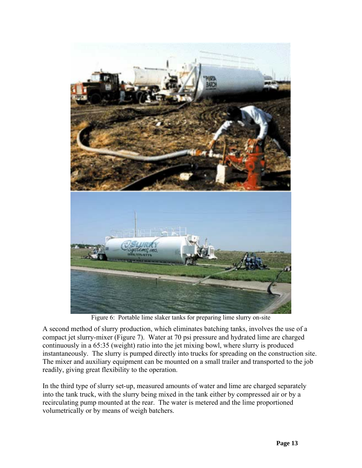

Figure 6: Portable lime slaker tanks for preparing lime slurry on-site

A second method of slurry production, which eliminates batching tanks, involves the use of a compact jet slurry-mixer (Figure 7). Water at 70 psi pressure and hydrated lime are charged continuously in a 65:35 (weight) ratio into the jet mixing bowl, where slurry is produced instantaneously. The slurry is pumped directly into trucks for spreading on the construction site. The mixer and auxiliary equipment can be mounted on a small trailer and transported to the job readily, giving great flexibility to the operation.

In the third type of slurry set-up, measured amounts of water and lime are charged separately into the tank truck, with the slurry being mixed in the tank either by compressed air or by a recirculating pump mounted at the rear. The water is metered and the lime proportioned volumetrically or by means of weigh batchers.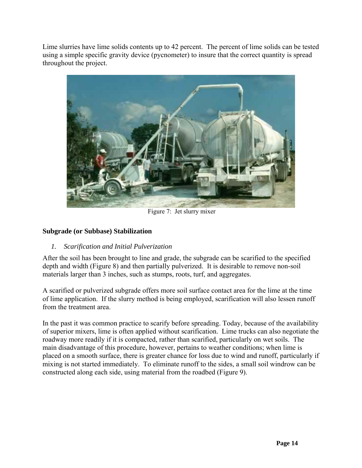<span id="page-13-0"></span>Lime slurries have lime solids contents up to 42 percent. The percent of lime solids can be tested using a simple specific gravity device (pycnometer) to insure that the correct quantity is spread throughout the project.

<span id="page-13-1"></span>

Figure 7: Jet slurry mixer

## **Subgrade (or Subbase) Stabilization**

## *1. Scarification and Initial Pulverization*

After the soil has been brought to line and grade, the subgrade can be scarified to the specified depth and width (Figure 8) and then partially pulverized. It is desirable to remove non-soil materials larger than 3 inches, such as stumps, roots, turf, and aggregates.

A scarified or pulverized subgrade offers more soil surface contact area for the lime at the time of lime application. If the slurry method is being employed, scarification will also lessen runoff from the treatment area.

In the past it was common practice to scarify before spreading. Today, because of the availability of superior mixers, lime is often applied without scarification. Lime trucks can also negotiate the roadway more readily if it is compacted, rather than scarified, particularly on wet soils. The main disadvantage of this procedure, however, pertains to weather conditions; when lime is placed on a smooth surface, there is greater chance for loss due to wind and runoff, particularly if mixing is not started immediately. To eliminate runoff to the sides, a small soil windrow can be constructed along each side, using material from the roadbed (Figure 9).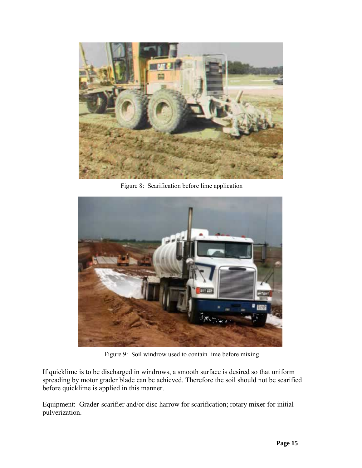

Figure 8: Scarification before lime application



Figure 9: Soil windrow used to contain lime before mixing

If quicklime is to be discharged in windrows, a smooth surface is desired so that uniform spreading by motor grader blade can be achieved. Therefore the soil should not be scarified before quicklime is applied in this manner.

Equipment: Grader-scarifier and/or disc harrow for scarification; rotary mixer for initial pulverization.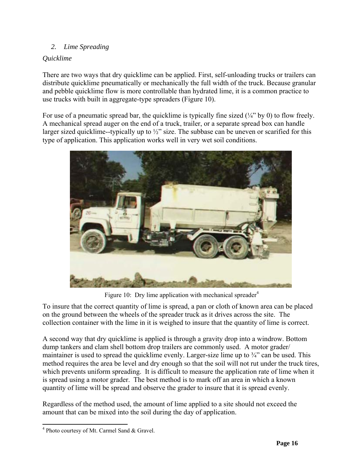## <span id="page-15-2"></span><span id="page-15-0"></span>*2. Lime Spreading*

## *Quicklime*

There are two ways that dry quicklime can be applied. First, self-unloading trucks or trailers can distribute quicklime pneumatically or mechanically the full width of the truck. Because granular and pebble quicklime flow is more controllable than hydrated lime, it is a common practice to use trucks with built in aggregate-type spreaders (Figure 10).

For use of a pneumatic spread bar, the quicklime is typically fine sized  $(\frac{1}{4}$ " by 0) to flow freely. A mechanical spread auger on the end of a truck, trailer, or a separate spread box can handle larger sized quicklime--typically up to  $\frac{1}{2}$ " size. The subbase can be uneven or scarified for this type of application. This application works well in very wet soil conditions.



Figure 10: Dry lime application with mechanical spreader $4$ 

To insure that the correct quantity of lime is spread, a pan or cloth of known area can be placed on the ground between the wheels of the spreader truck as it drives across the site. The collection container with the lime in it is weighed to insure that the quantity of lime is correct.

A second way that dry quicklime is applied is through a gravity drop into a windrow. Bottom dump tankers and clam shell bottom drop trailers are commonly used. A motor grader/ maintainer is used to spread the quicklime evenly. Larger-size lime up to  $\frac{3}{4}$  can be used. This method requires the area be level and dry enough so that the soil will not rut under the truck tires, which prevents uniform spreading. It is difficult to measure the application rate of lime when it is spread using a motor grader. The best method is to mark off an area in which a known quantity of lime will be spread and observe the grader to insure that it is spread evenly.

Regardless of the method used, the amount of lime applied to a site should not exceed the amount that can be mixed into the soil during the day of application.

<span id="page-15-1"></span><sup>&</sup>lt;sup>4</sup> Photo courtesy of Mt. Carmel Sand & Gravel.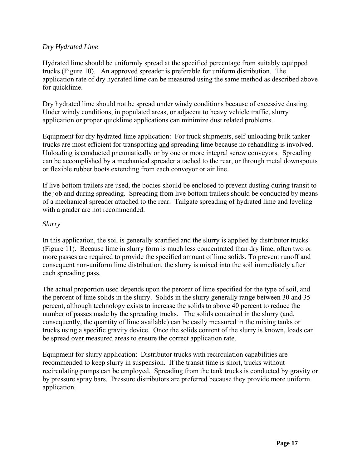## *Dry Hydrated Lime*

Hydrated lime should be uniformly spread at the specified percentage from suitably equipped trucks (Figure 10). An approved spreader is preferable for uniform distribution. The application rate of dry hydrated lime can be measured using the same method as described above for quicklime.

Dry hydrated lime should not be spread under windy conditions because of excessive dusting. Under windy conditions, in populated areas, or adjacent to heavy vehicle traffic, slurry application or proper quicklime applications can minimize dust related problems.

Equipment for dry hydrated lime application: For truck shipments, self-unloading bulk tanker trucks are most efficient for transporting and spreading lime because no rehandling is involved. Unloading is conducted pneumatically or by one or more integral screw conveyors. Spreading can be accomplished by a mechanical spreader attached to the rear, or through metal downspouts or flexible rubber boots extending from each conveyor or air line.

If live bottom trailers are used, the bodies should be enclosed to prevent dusting during transit to the job and during spreading. Spreading from live bottom trailers should be conducted by means of a mechanical spreader attached to the rear. Tailgate spreading of hydrated lime and leveling with a grader are not recommended.

#### *Slurry*

In this application, the soil is generally scarified and the slurry is applied by distributor trucks (Figure 11). Because lime in slurry form is much less concentrated than dry lime, often two or more passes are required to provide the specified amount of lime solids. To prevent runoff and consequent non-uniform lime distribution, the slurry is mixed into the soil immediately after each spreading pass.

The actual proportion used depends upon the percent of lime specified for the type of soil, and the percent of lime solids in the slurry. Solids in the slurry generally range between 30 and 35 percent, although technology exists to increase the solids to above 40 percent to reduce the number of passes made by the spreading trucks. The solids contained in the slurry (and, consequently, the quantity of lime available) can be easily measured in the mixing tanks or trucks using a specific gravity device. Once the solids content of the slurry is known, loads can be spread over measured areas to ensure the correct application rate.

Equipment for slurry application: Distributor trucks with recirculation capabilities are recommended to keep slurry in suspension. If the transit time is short, trucks without recirculating pumps can be employed. Spreading from the tank trucks is conducted by gravity or by pressure spray bars. Pressure distributors are preferred because they provide more uniform application.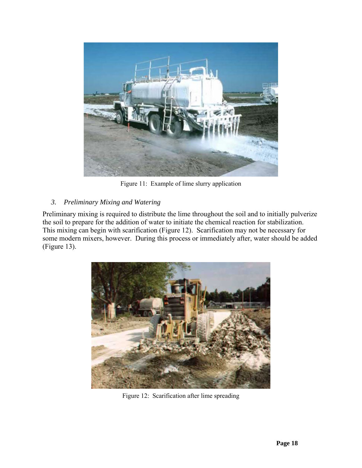<span id="page-17-0"></span>

Figure 11: Example of lime slurry application

## *3. Preliminary Mixing and Watering*

Preliminary mixing is required to distribute the lime throughout the soil and to initially pulverize the soil to prepare for the addition of water to initiate the chemical reaction for stabilization. This mixing can begin with scarification (Figure 12). Scarification may not be necessary for some modern mixers, however. During this process or immediately after, water should be added (Figure 13).



Figure 12: Scarification after lime spreading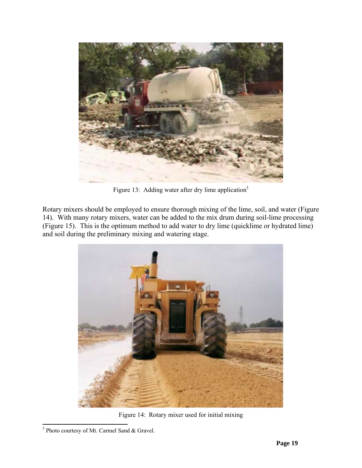

Figure 13: Adding water after dry lime application<sup>[5](#page-18-0)</sup>

Rotary mixers should be employed to ensure thorough mixing of the lime, soil, and water (Figure 14). With many rotary mixers, water can be added to the mix drum during soil-lime processing (Figure 15). This is the optimum method to add water to dry lime (quicklime or hydrated lime) and soil during the preliminary mixing and watering stage.



Figure 14: Rotary mixer used for initial mixing

<span id="page-18-0"></span><sup>&</sup>lt;sup>5</sup> Photo courtesy of Mt. Carmel Sand & Gravel.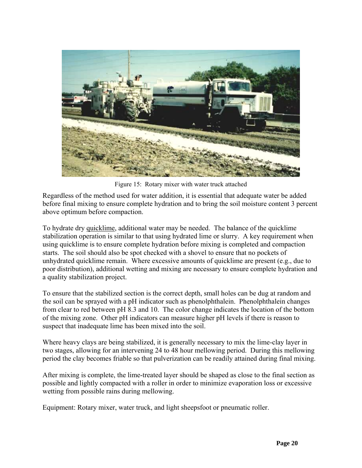

Figure 15: Rotary mixer with water truck attached

Regardless of the method used for water addition, it is essential that adequate water be added before final mixing to ensure complete hydration and to bring the soil moisture content 3 percent above optimum before compaction.

To hydrate dry quicklime, additional water may be needed. The balance of the quicklime stabilization operation is similar to that using hydrated lime or slurry. A key requirement when using quicklime is to ensure complete hydration before mixing is completed and compaction starts. The soil should also be spot checked with a shovel to ensure that no pockets of unhydrated quicklime remain. Where excessive amounts of quicklime are present (e.g., due to poor distribution), additional wetting and mixing are necessary to ensure complete hydration and a quality stabilization project.

To ensure that the stabilized section is the correct depth, small holes can be dug at random and the soil can be sprayed with a pH indicator such as phenolphthalein. Phenolphthalein changes from clear to red between pH 8.3 and 10. The color change indicates the location of the bottom of the mixing zone. Other pH indicators can measure higher pH levels if there is reason to suspect that inadequate lime has been mixed into the soil.

Where heavy clays are being stabilized, it is generally necessary to mix the lime-clay layer in two stages, allowing for an intervening 24 to 48 hour mellowing period. During this mellowing period the clay becomes friable so that pulverization can be readily attained during final mixing.

After mixing is complete, the lime-treated layer should be shaped as close to the final section as possible and lightly compacted with a roller in order to minimize evaporation loss or excessive wetting from possible rains during mellowing.

Equipment: Rotary mixer, water truck, and light sheepsfoot or pneumatic roller.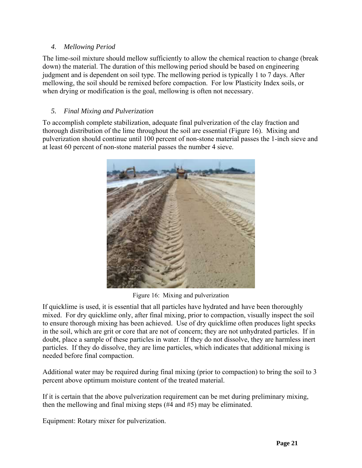## <span id="page-20-0"></span>*4. Mellowing Period*

The lime-soil mixture should mellow sufficiently to allow the chemical reaction to change (break down) the material. The duration of this mellowing period should be based on engineering judgment and is dependent on soil type. The mellowing period is typically 1 to 7 days. After mellowing, the soil should be remixed before compaction. For low Plasticity Index soils, or when drying or modification is the goal, mellowing is often not necessary.

## *5. Final Mixing and Pulverization*

To accomplish complete stabilization, adequate final pulverization of the clay fraction and thorough distribution of the lime throughout the soil are essential (Figure 16). Mixing and pulverization should continue until 100 percent of non-stone material passes the 1-inch sieve and at least 60 percent of non-stone material passes the number 4 sieve.



Figure 16: Mixing and pulverization

If quicklime is used, it is essential that all particles have hydrated and have been thoroughly mixed. For dry quicklime only, after final mixing, prior to compaction, visually inspect the soil to ensure thorough mixing has been achieved. Use of dry quicklime often produces light specks in the soil, which are grit or core that are not of concern; they are not unhydrated particles. If in doubt, place a sample of these particles in water. If they do not dissolve, they are harmless inert particles. If they do dissolve, they are lime particles, which indicates that additional mixing is needed before final compaction.

Additional water may be required during final mixing (prior to compaction) to bring the soil to 3 percent above optimum moisture content of the treated material.

If it is certain that the above pulverization requirement can be met during preliminary mixing, then the mellowing and final mixing steps (#4 and #5) may be eliminated.

Equipment: Rotary mixer for pulverization.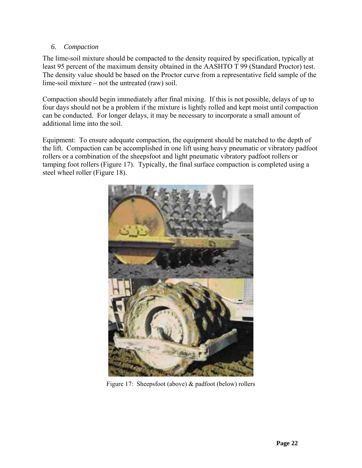## <span id="page-21-0"></span>*6. Compaction*

The lime-soil mixture should be compacted to the density required by specification, typically at least 95 percent of the maximum density obtained in the AASHTO T 99 (Standard Proctor) test. The density value should be based on the Proctor curve from a representative field sample of the lime-soil mixture – not the untreated (raw) soil.

Compaction should begin immediately after final mixing. If this is not possible, delays of up to four days should not be a problem if the mixture is lightly rolled and kept moist until compaction can be conducted. For longer delays, it may be necessary to incorporate a small amount of additional lime into the soil.

Equipment: To ensure adequate compaction, the equipment should be matched to the depth of the lift. Compaction can be accomplished in one lift using heavy pneumatic or vibratory padfoot rollers or a combination of the sheepsfoot and light pneumatic vibratory padfoot rollers or tamping foot rollers (Figure 17). Typically, the final surface compaction is completed using a steel wheel roller (Figure 18).



Figure 17: Sheepsfoot (above) & padfoot (below) rollers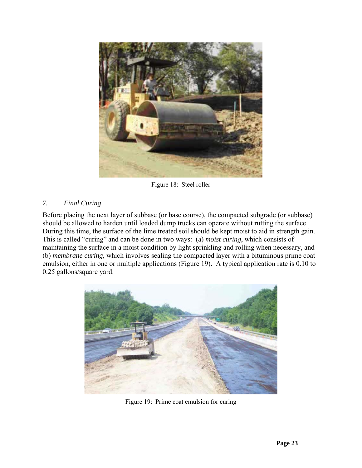<span id="page-22-0"></span>

Figure 18: Steel roller

## *7. Final Curing*

Before placing the next layer of subbase (or base course), the compacted subgrade (or subbase) should be allowed to harden until loaded dump trucks can operate without rutting the surface. During this time, the surface of the lime treated soil should be kept moist to aid in strength gain. This is called "curing" and can be done in two ways: (a) *moist curing*, which consists of maintaining the surface in a moist condition by light sprinkling and rolling when necessary, and (b) *membrane curing*, which involves sealing the compacted layer with a bituminous prime coat emulsion, either in one or multiple applications (Figure 19). A typical application rate is 0.10 to 0.25 gallons/square yard.



Figure 19: Prime coat emulsion for curing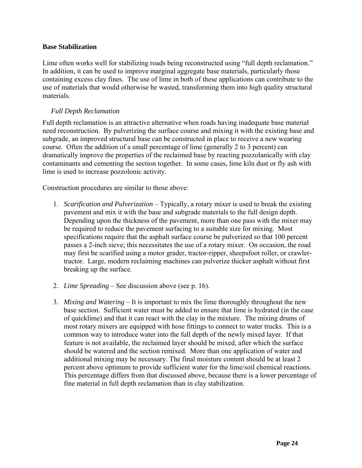#### <span id="page-23-0"></span>**Base Stabilization**

Lime often works well for stabilizing roads being reconstructed using "full depth reclamation." In addition, it can be used to improve marginal aggregate base materials, particularly those containing excess clay fines. The use of lime in both of these applications can contribute to the use of materials that would otherwise be wasted, transforming them into high quality structural materials.

#### <span id="page-23-1"></span>*Full Depth Reclamation*

Full depth reclamation is an attractive alternative when roads having inadequate base material need reconstruction. By pulverizing the surface course and mixing it with the existing base and subgrade, an improved structural base can be constructed in place to receive a new wearing course. Often the addition of a small percentage of lime (generally 2 to 3 percent) can dramatically improve the properties of the reclaimed base by reacting pozzolanically with clay contaminants and cementing the section together. In some cases, lime kiln dust or fly ash with lime is used to increase pozzolonic activity.

Construction procedures are similar to those above:

- 1. *Scarification and Pulverization* Typically, a rotary mixer is used to break the existing pavement and mix it with the base and subgrade materials to the full design depth. Depending upon the thickness of the pavement, more than one pass with the mixer may be required to reduce the pavement surfacing to a suitable size for mixing. Most specifications require that the asphalt surface course be pulverized so that 100 percent passes a 2-inch sieve; this necessitates the use of a rotary mixer. On occasion, the road may first be scarified using a motor grader, tractor-ripper, sheepsfoot roller, or crawlertractor. Large, modern reclaiming machines can pulverize thicker asphalt without first breaking up the surface.
- 2. *Lime Spreading* See discussion above (see p. [16\)](#page-15-2).
- 3. *Mixing and Watering* It is important to mix the lime thoroughly throughout the new base section. Sufficient water must be added to ensure that lime is hydrated (in the case of quicklime) and that it can react with the clay in the mixture. The mixing drums of most rotary mixers are equipped with hose fittings to connect to water trucks. This is a common way to introduce water into the full depth of the newly mixed layer. If that feature is not available, the reclaimed layer should be mixed, after which the surface should be watered and the section remixed. More than one application of water and additional mixing may be necessary. The final moisture content should be at least 2 percent above optimum to provide sufficient water for the lime/soil chemical reactions. This percentage differs from that discussed above, because there is a lower percentage of fine material in full depth reclamation than in clay stabilization.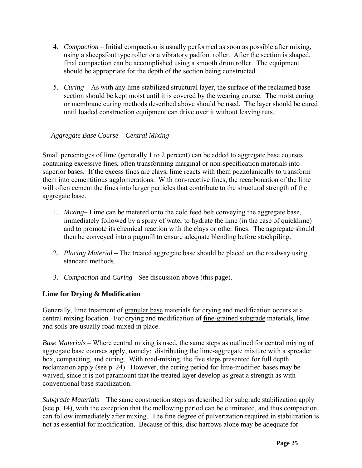- <span id="page-24-0"></span>4. *Compaction* – Initial compaction is usually performed as soon as possible after mixing, using a sheepsfoot type roller or a vibratory padfoot roller. After the section is shaped, final compaction can be accomplished using a smooth drum roller. The equipment should be appropriate for the depth of the section being constructed.
- 5. *Curing* As with any lime-stabilized structural layer, the surface of the reclaimed base section should be kept moist until it is covered by the wearing course. The moist curing or membrane curing methods described above should be used. The layer should be cured until loaded construction equipment can drive over it without leaving ruts.

## *Aggregate Base Course – Central Mixing*

Small percentages of lime (generally 1 to 2 percent) can be added to aggregate base courses containing excessive fines, often transforming marginal or non-specification materials into superior bases. If the excess fines are clays, lime reacts with them pozzolanically to transform them into cementitious agglomerations. With non-reactive fines, the recarbonation of the lime will often cement the fines into larger particles that contribute to the structural strength of the aggregate base.

- 1. *Mixing* Lime can be metered onto the cold feed belt conveying the aggregate base, immediately followed by a spray of water to hydrate the lime (in the case of quicklime) and to promote its chemical reaction with the clays or other fines. The aggregate should then be conveyed into a pugmill to ensure adequate blending before stockpiling.
- 2. *Placing Material* The treated aggregate base should be placed on the roadway using standard methods.
- 3. *Compaction* and *Curing* See discussion above (this page).

## **Lime for Drying & Modification**

Generally, lime treatment of granular base materials for drying and modification occurs at a central mixing location. For drying and modification of fine-grained subgrade materials, lime and soils are usually road mixed in place.

*Base Materials* – Where central mixing is used, the same steps as outlined for central mixing of aggregate base courses apply, namely: distributing the lime-aggregate mixture with a spreader box, compacting, and curing. With road-mixing, the five steps presented for full depth reclamation apply (see p. [24\)](#page-23-1). However, the curing period for lime-modified bases may be waived, since it is not paramount that the treated layer develop as great a strength as with conventional base stabilization.

*Subgrade Materials* – The same construction steps as described for subgrade stabilization apply (see p. [14\)](#page-13-1), with the exception that the mellowing period can be eliminated, and thus compaction can follow immediately after mixing. The fine degree of pulverization required in stabilization is not as essential for modification. Because of this, disc harrows alone may be adequate for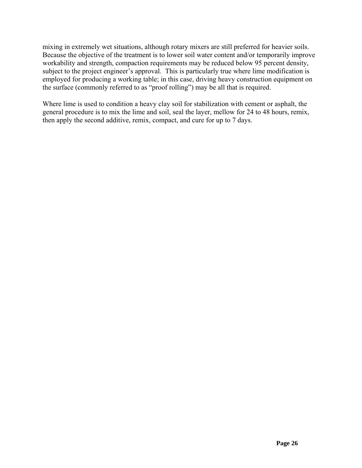mixing in extremely wet situations, although rotary mixers are still preferred for heavier soils. Because the objective of the treatment is to lower soil water content and/or temporarily improve workability and strength, compaction requirements may be reduced below 95 percent density, subject to the project engineer's approval. This is particularly true where lime modification is employed for producing a working table; in this case, driving heavy construction equipment on the surface (commonly referred to as "proof rolling") may be all that is required.

Where lime is used to condition a heavy clay soil for stabilization with cement or asphalt, the general procedure is to mix the lime and soil, seal the layer, mellow for 24 to 48 hours, remix, then apply the second additive, remix, compact, and cure for up to 7 days.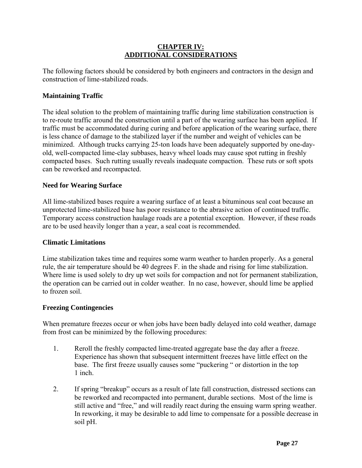#### **CHAPTER IV: ADDITIONAL CONSIDERATIONS**

<span id="page-26-0"></span>The following factors should be considered by both engineers and contractors in the design and construction of lime-stabilized roads.

#### **Maintaining Traffic**

The ideal solution to the problem of maintaining traffic during lime stabilization construction is to re-route traffic around the construction until a part of the wearing surface has been applied. If traffic must be accommodated during curing and before application of the wearing surface, there is less chance of damage to the stabilized layer if the number and weight of vehicles can be minimized. Although trucks carrying 25-ton loads have been adequately supported by one-dayold, well-compacted lime-clay subbases, heavy wheel loads may cause spot rutting in freshly compacted bases. Such rutting usually reveals inadequate compaction. These ruts or soft spots can be reworked and recompacted.

#### **Need for Wearing Surface**

All lime-stabilized bases require a wearing surface of at least a bituminous seal coat because an unprotected lime-stabilized base has poor resistance to the abrasive action of continued traffic. Temporary access construction haulage roads are a potential exception. However, if these roads are to be used heavily longer than a year, a seal coat is recommended.

#### **Climatic Limitations**

Lime stabilization takes time and requires some warm weather to harden properly. As a general rule, the air temperature should be 40 degrees F. in the shade and rising for lime stabilization. Where lime is used solely to dry up wet soils for compaction and not for permanent stabilization, the operation can be carried out in colder weather. In no case, however, should lime be applied to frozen soil.

#### **Freezing Contingencies**

When premature freezes occur or when jobs have been badly delayed into cold weather, damage from frost can be minimized by the following procedures:

- 1. Reroll the freshly compacted lime-treated aggregate base the day after a freeze. Experience has shown that subsequent intermittent freezes have little effect on the base. The first freeze usually causes some "puckering " or distortion in the top 1 inch.
- 2. If spring "breakup" occurs as a result of late fall construction, distressed sections can be reworked and recompacted into permanent, durable sections. Most of the lime is still active and "free," and will readily react during the ensuing warm spring weather. In reworking, it may be desirable to add lime to compensate for a possible decrease in soil pH.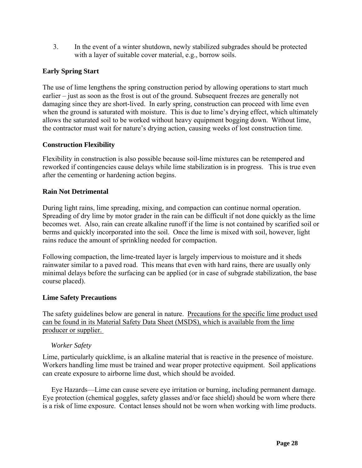<span id="page-27-0"></span>3. In the event of a winter shutdown, newly stabilized subgrades should be protected with a layer of suitable cover material, e.g., borrow soils.

## **Early Spring Start**

The use of lime lengthens the spring construction period by allowing operations to start much earlier – just as soon as the frost is out of the ground. Subsequent freezes are generally not damaging since they are short-lived. In early spring, construction can proceed with lime even when the ground is saturated with moisture. This is due to lime's drying effect, which ultimately allows the saturated soil to be worked without heavy equipment bogging down. Without lime, the contractor must wait for nature's drying action, causing weeks of lost construction time.

#### **Construction Flexibility**

Flexibility in construction is also possible because soil-lime mixtures can be retempered and reworked if contingencies cause delays while lime stabilization is in progress. This is true even after the cementing or hardening action begins.

#### **Rain Not Detrimental**

During light rains, lime spreading, mixing, and compaction can continue normal operation. Spreading of dry lime by motor grader in the rain can be difficult if not done quickly as the lime becomes wet. Also, rain can create alkaline runoff if the lime is not contained by scarified soil or berms and quickly incorporated into the soil. Once the lime is mixed with soil, however, light rains reduce the amount of sprinkling needed for compaction.

Following compaction, the lime-treated layer is largely impervious to moisture and it sheds rainwater similar to a paved road. This means that even with hard rains, there are usually only minimal delays before the surfacing can be applied (or in case of subgrade stabilization, the base course placed).

#### **Lime Safety Precautions**

The safety guidelines below are general in nature. Precautions for the specific lime product used can be found in its Material Safety Data Sheet (MSDS), which is available from the lime producer or supplier.

#### *Worker Safety*

Lime, particularly quicklime, is an alkaline material that is reactive in the presence of moisture. Workers handling lime must be trained and wear proper protective equipment. Soil applications can create exposure to airborne lime dust, which should be avoided.

 Eye Hazards—Lime can cause severe eye irritation or burning, including permanent damage. Eye protection (chemical goggles, safety glasses and/or face shield) should be worn where there is a risk of lime exposure. Contact lenses should not be worn when working with lime products.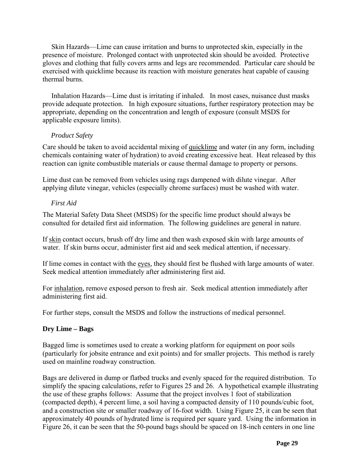<span id="page-28-0"></span> Skin Hazards—Lime can cause irritation and burns to unprotected skin, especially in the presence of moisture. Prolonged contact with unprotected skin should be avoided. Protective gloves and clothing that fully covers arms and legs are recommended. Particular care should be exercised with quicklime because its reaction with moisture generates heat capable of causing thermal burns.

 Inhalation Hazards—Lime dust is irritating if inhaled. In most cases, nuisance dust masks provide adequate protection. In high exposure situations, further respiratory protection may be appropriate, depending on the concentration and length of exposure (consult MSDS for applicable exposure limits).

## *Product Safety*

Care should be taken to avoid accidental mixing of quicklime and water (in any form, including chemicals containing water of hydration) to avoid creating excessive heat. Heat released by this reaction can ignite combustible materials or cause thermal damage to property or persons.

Lime dust can be removed from vehicles using rags dampened with dilute vinegar. After applying dilute vinegar, vehicles (especially chrome surfaces) must be washed with water.

## *First Aid*

The Material Safety Data Sheet (MSDS) for the specific lime product should always be consulted for detailed first aid information. The following guidelines are general in nature.

If skin contact occurs, brush off dry lime and then wash exposed skin with large amounts of water. If skin burns occur, administer first aid and seek medical attention, if necessary.

If lime comes in contact with the eyes, they should first be flushed with large amounts of water. Seek medical attention immediately after administering first aid.

For inhalation, remove exposed person to fresh air. Seek medical attention immediately after administering first aid.

For further steps, consult the MSDS and follow the instructions of medical personnel.

## **Dry Lime – Bags**

Bagged lime is sometimes used to create a working platform for equipment on poor soils (particularly for jobsite entrance and exit points) and for smaller projects. This method is rarely used on mainline roadway construction.

Bags are delivered in dump or flatbed trucks and evenly spaced for the required distribution. To simplify the spacing calculations, refer to Figures 25 and [26.](#page-40-0) A hypothetical example illustrating the use of these graphs follows: Assume that the project involves 1 foot of stabilization (compacted depth), 4 percent lime, a soil having a compacted density of 110 pounds/cubic foot, and a construction site or smaller roadway of 16-foot width. Using Figure 25, it can be seen that approximately 40 pounds of hydrated lime is required per square yard. Using the information in Figure [26,](#page-40-0) it can be seen that the 50-pound bags should be spaced on 18-inch centers in one line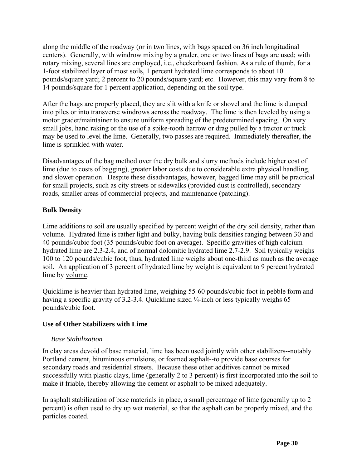<span id="page-29-0"></span>along the middle of the roadway (or in two lines, with bags spaced on 36 inch longitudinal centers). Generally, with windrow mixing by a grader, one or two lines of bags are used; with rotary mixing, several lines are employed, i.e., checkerboard fashion. As a rule of thumb, for a 1-foot stabilized layer of most soils, 1 percent hydrated lime corresponds to about 10 pounds/square yard; 2 percent to 20 pounds/square yard; etc. However, this may vary from 8 to 14 pounds/square for 1 percent application, depending on the soil type.

After the bags are properly placed, they are slit with a knife or shovel and the lime is dumped into piles or into transverse windrows across the roadway. The lime is then leveled by using a motor grader/maintainer to ensure uniform spreading of the predetermined spacing. On very small jobs, hand raking or the use of a spike-tooth harrow or drag pulled by a tractor or truck may be used to level the lime. Generally, two passes are required. Immediately thereafter, the lime is sprinkled with water.

Disadvantages of the bag method over the dry bulk and slurry methods include higher cost of lime (due to costs of bagging), greater labor costs due to considerable extra physical handling, and slower operation. Despite these disadvantages, however, bagged lime may still be practical for small projects, such as city streets or sidewalks (provided dust is controlled), secondary roads, smaller areas of commercial projects, and maintenance (patching).

## **Bulk Density**

Lime additions to soil are usually specified by percent weight of the dry soil density, rather than volume. Hydrated lime is rather light and bulky, having bulk densities ranging between 30 and 40 pounds/cubic foot (35 pounds/cubic foot on average). Specific gravities of high calcium hydrated lime are 2.3-2.4, and of normal dolomitic hydrated lime 2.7-2.9. Soil typically weighs 100 to 120 pounds/cubic foot, thus, hydrated lime weighs about one-third as much as the average soil. An application of 3 percent of hydrated lime by weight is equivalent to 9 percent hydrated lime by volume.

Quicklime is heavier than hydrated lime, weighing 55-60 pounds/cubic foot in pebble form and having a specific gravity of 3.2-3.4. Quicklime sized  $\frac{1}{4}$ -inch or less typically weighs 65 pounds/cubic foot.

#### **Use of Other Stabilizers with Lime**

#### *Base Stabilization*

In clay areas devoid of base material, lime has been used jointly with other stabilizers--notably Portland cement, bituminous emulsions, or foamed asphalt--to provide base courses for secondary roads and residential streets. Because these other additives cannot be mixed successfully with plastic clays, lime (generally 2 to 3 percent) is first incorporated into the soil to make it friable, thereby allowing the cement or asphalt to be mixed adequately.

In asphalt stabilization of base materials in place, a small percentage of lime (generally up to 2 percent) is often used to dry up wet material, so that the asphalt can be properly mixed, and the particles coated.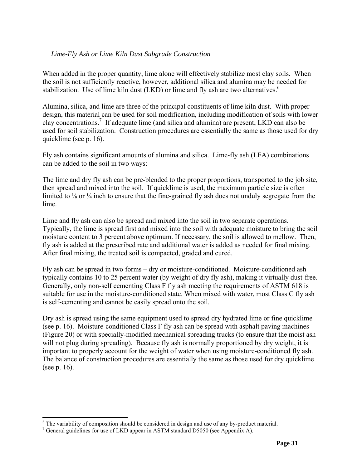#### <span id="page-30-0"></span>*Lime-Fly Ash or Lime Kiln Dust Subgrade Construction*

When added in the proper quantity, lime alone will effectively stabilize most clay soils. When the soil is not sufficiently reactive, however, additional silica and alumina may be needed for stabilization. Use of lime kiln dust  $(LKD)$  or lime and fly ash are two alternatives.<sup>[6](#page-30-1)</sup>

Alumina, silica, and lime are three of the principal constituents of lime kiln dust. With proper design, this material can be used for soil modification, including modification of soils with lower clay concentrations[.7](#page-30-2) If adequate lime (and silica and alumina) are present, LKD can also be used for soil stabilization. Construction procedures are essentially the same as those used for dry quicklime (see p. [16\)](#page-15-2).

Fly ash contains significant amounts of alumina and silica. Lime-fly ash (LFA) combinations can be added to the soil in two ways:

The lime and dry fly ash can be pre-blended to the proper proportions, transported to the job site, then spread and mixed into the soil. If quicklime is used, the maximum particle size is often limited to <sup>1</sup>/<sub>8</sub> or <sup>1</sup>/<sub>4</sub> inch to ensure that the fine-grained fly ash does not unduly segregate from the lime.

Lime and fly ash can also be spread and mixed into the soil in two separate operations. Typically, the lime is spread first and mixed into the soil with adequate moisture to bring the soil moisture content to 3 percent above optimum. If necessary, the soil is allowed to mellow. Then, fly ash is added at the prescribed rate and additional water is added as needed for final mixing. After final mixing, the treated soil is compacted, graded and cured.

Fly ash can be spread in two forms – dry or moisture-conditioned. Moisture-conditioned ash typically contains 10 to 25 percent water (by weight of dry fly ash), making it virtually dust-free. Generally, only non-self cementing Class F fly ash meeting the requirements of ASTM 618 is suitable for use in the moisture-conditioned state. When mixed with water, most Class C fly ash is self-cementing and cannot be easily spread onto the soil.

Dry ash is spread using the same equipment used to spread dry hydrated lime or fine quicklime (see p. [16\)](#page-15-2). Moisture-conditioned Class F fly ash can be spread with asphalt paving machines (Figure 20) or with specially-modified mechanical spreading trucks (to ensure that the moist ash will not plug during spreading). Because fly ash is normally proportioned by dry weight, it is important to properly account for the weight of water when using moisture-conditioned fly ash. The balance of construction procedures are essentially the same as those used for dry quicklime (see p. [16\)](#page-15-2).

<span id="page-30-1"></span>6 <sup>6</sup> The variability of composition should be considered in design and use of any by-product material.

<span id="page-30-2"></span> $\frac{7}{7}$  General guidelines for use of LKD appear in ASTM standard D5050 (see Appendix A).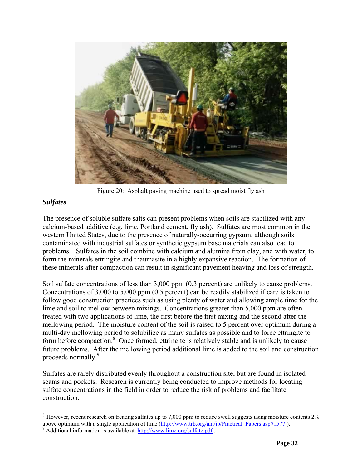<span id="page-31-0"></span>

Figure 20: Asphalt paving machine used to spread moist fly ash

#### *Sulfates*

The presence of soluble sulfate salts can present problems when soils are stabilized with any calcium-based additive (e.g. lime, Portland cement, fly ash). Sulfates are most common in the western United States, due to the presence of naturally-occurring gypsum, although soils contaminated with industrial sulfates or synthetic gypsum base materials can also lead to problems. Sulfates in the soil combine with calcium and alumina from clay, and with water, to form the minerals ettringite and thaumasite in a highly expansive reaction. The formation of these minerals after compaction can result in significant pavement heaving and loss of strength.

Soil sulfate concentrations of less than 3,000 ppm (0.3 percent) are unlikely to cause problems. Concentrations of 3,000 to 5,000 ppm (0.5 percent) can be readily stabilized if care is taken to follow good construction practices such as using plenty of water and allowing ample time for the lime and soil to mellow between mixings. Concentrations greater than 5,000 ppm are often treated with two applications of lime, the first before the first mixing and the second after the mellowing period. The moisture content of the soil is raised to 5 percent over optimum during a multi-day mellowing period to solubilize as many sulfates as possible and to force ettringite to form before compaction.<sup>[8](#page-31-1)</sup> Once formed, ettringite is relatively stable and is unlikely to cause future problems. After the mellowing period additional lime is added to the soil and construction proceeds normally.<sup>[9](#page-31-2)</sup>

Sulfates are rarely distributed evenly throughout a construction site, but are found in isolated seams and pockets. Research is currently being conducted to improve methods for locating sulfate concentrations in the field in order to reduce the risk of problems and facilitate construction.

<span id="page-31-1"></span><sup>&</sup>lt;sup>8</sup> However, recent research on treating sulfates up to 7,000 ppm to reduce swell suggests using moisture contents 2% above optimum with a single application of lime (http://www.trb.org/am/ip/Practical\_Papers.asp#1577).

<span id="page-31-2"></span> $9$  Additional information is available at  $\frac{http://www.lime.org/sulfate.pdf}{http://www.lime.org/sulfate.pdf}$ .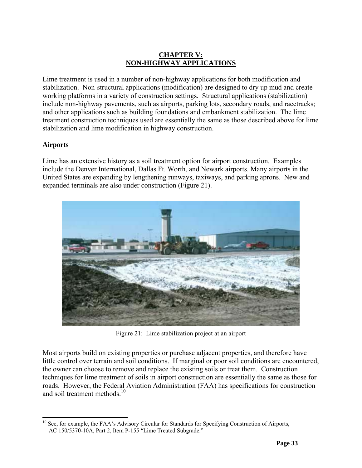## **CHAPTER V: NON-HIGHWAY APPLICATIONS**

<span id="page-32-0"></span>Lime treatment is used in a number of non-highway applications for both modification and stabilization. Non-structural applications (modification) are designed to dry up mud and create working platforms in a variety of construction settings. Structural applications (stabilization) include non-highway pavements, such as airports, parking lots, secondary roads, and racetracks; and other applications such as building foundations and embankment stabilization. The lime treatment construction techniques used are essentially the same as those described above for lime stabilization and lime modification in highway construction.

## **Airports**

Lime has an extensive history as a soil treatment option for airport construction. Examples include the Denver International, Dallas Ft. Worth, and Newark airports. Many airports in the United States are expanding by lengthening runways, taxiways, and parking aprons. New and expanded terminals are also under construction (Figure 21).



Figure 21: Lime stabilization project at an airport

Most airports build on existing properties or purchase adjacent properties, and therefore have little control over terrain and soil conditions. If marginal or poor soil conditions are encountered, the owner can choose to remove and replace the existing soils or treat them. Construction techniques for lime treatment of soils in airport construction are essentially the same as those for roads. However, the Federal Aviation Administration (FAA) has specifications for construction and soil treatment methods.<sup>[10](#page-32-1)</sup>

<span id="page-32-1"></span><sup>&</sup>lt;sup>10</sup> See, for example, the FAA's Advisory Circular for Standards for Specifying Construction of Airports, AC 150/5370-10A, Part 2, Item P-155 "Lime Treated Subgrade."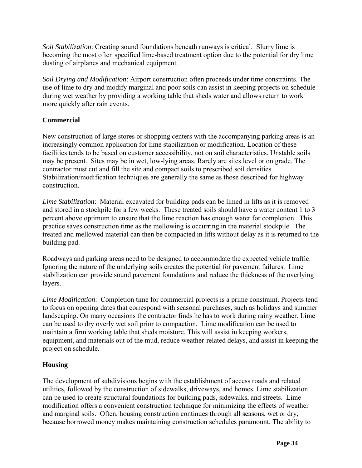<span id="page-33-0"></span>*Soil Stabilization*: Creating sound foundations beneath runways is critical. Slurry lime is becoming the most often specified lime-based treatment option due to the potential for dry lime dusting of airplanes and mechanical equipment.

*Soil Drying and Modification*: Airport construction often proceeds under time constraints. The use of lime to dry and modify marginal and poor soils can assist in keeping projects on schedule during wet weather by providing a working table that sheds water and allows return to work more quickly after rain events.

## **Commercial**

New construction of large stores or shopping centers with the accompanying parking areas is an increasingly common application for lime stabilization or modification. Location of these facilities tends to be based on customer accessibility, not on soil characteristics. Unstable soils may be present. Sites may be in wet, low-lying areas. Rarely are sites level or on grade. The contractor must cut and fill the site and compact soils to prescribed soil densities. Stabilization/modification techniques are generally the same as those described for highway construction.

*Lime Stabilization*: Material excavated for building pads can be limed in lifts as it is removed and stored in a stockpile for a few weeks. These treated soils should have a water content 1 to 3 percent above optimum to ensure that the lime reaction has enough water for completion. This practice saves construction time as the mellowing is occurring in the material stockpile. The treated and mellowed material can then be compacted in lifts without delay as it is returned to the building pad.

Roadways and parking areas need to be designed to accommodate the expected vehicle traffic. Ignoring the nature of the underlying soils creates the potential for pavement failures. Lime stabilization can provide sound pavement foundations and reduce the thickness of the overlying layers.

*Lime Modification*: Completion time for commercial projects is a prime constraint. Projects tend to focus on opening dates that correspond with seasonal purchases, such as holidays and summer landscaping. On many occasions the contractor finds he has to work during rainy weather. Lime can be used to dry overly wet soil prior to compaction. Lime modification can be used to maintain a firm working table that sheds moisture. This will assist in keeping workers, equipment, and materials out of the mud, reduce weather-related delays, and assist in keeping the project on schedule.

## **Housing**

The development of subdivisions begins with the establishment of access roads and related utilities, followed by the construction of sidewalks, driveways, and homes. Lime stabilization can be used to create structural foundations for building pads, sidewalks, and streets. Lime modification offers a convenient construction technique for minimizing the effects of weather and marginal soils. Often, housing construction continues through all seasons, wet or dry, because borrowed money makes maintaining construction schedules paramount. The ability to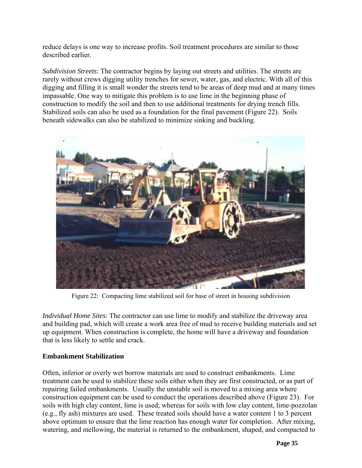<span id="page-34-0"></span>reduce delays is one way to increase profits. Soil treatment procedures are similar to those described earlier.

*Subdivision Streets*: The contractor begins by laying out streets and utilities. The streets are rarely without crews digging utility trenches for sewer, water, gas, and electric. With all of this digging and filling it is small wonder the streets tend to be areas of deep mud and at many times impassable. One way to mitigate this problem is to use lime in the beginning phase of construction to modify the soil and then to use additional treatments for drying trench fills. Stabilized soils can also be used as a foundation for the final pavement (Figure 22). Soils beneath sidewalks can also be stabilized to minimize sinking and buckling.



Figure 22: Compacting lime stabilized soil for base of street in housing subdivision

*Individual Home Sites*: The contractor can use lime to modify and stabilize the driveway area and building pad, which will create a work area free of mud to receive building materials and set up equipment. When construction is complete, the home will have a driveway and foundation that is less likely to settle and crack.

#### **Embankment Stabilization**

Often, inferior or overly wet borrow materials are used to construct embankments. Lime treatment can be used to stabilize these soils either when they are first constructed, or as part of repairing failed embankments. Usually the unstable soil is moved to a mixing area where construction equipment can be used to conduct the operations described above (Figure 23). For soils with high clay content, lime is used; whereas for soils with low clay content, lime-pozzolan (e.g., fly ash) mixtures are used. These treated soils should have a water content 1 to 3 percent above optimum to ensure that the lime reaction has enough water for completion. After mixing, watering, and mellowing, the material is returned to the embankment, shaped, and compacted to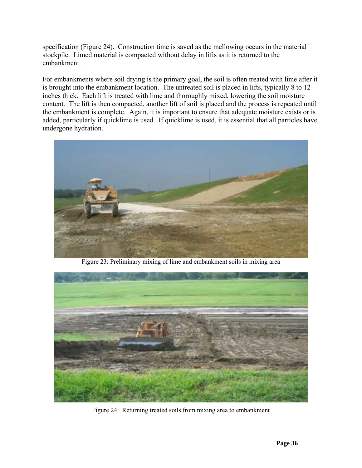specification (Figure 24). Construction time is saved as the mellowing occurs in the material stockpile. Limed material is compacted without delay in lifts as it is returned to the embankment.

For embankments where soil drying is the primary goal, the soil is often treated with lime after it is brought into the embankment location. The untreated soil is placed in lifts, typically 8 to 12 inches thick. Each lift is treated with lime and thoroughly mixed, lowering the soil moisture content. The lift is then compacted, another lift of soil is placed and the process is repeated until the embankment is complete. Again, it is important to ensure that adequate moisture exists or is added, particularly if quicklime is used. If quicklime is used, it is essential that all particles have undergone hydration.



Figure 23: Preliminary mixing of lime and embankment soils in mixing area



Figure 24: Returning treated soils from mixing area to embankment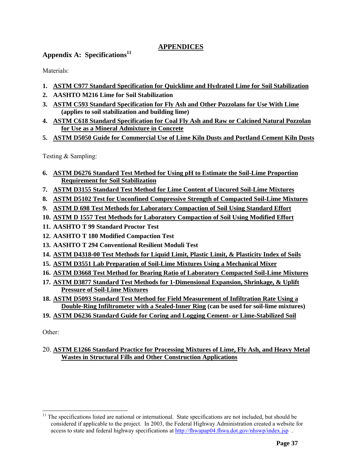## **APPENDICES**

## <span id="page-36-0"></span>**Appendix A: Specifications[11](#page-36-1)**

Materials:

- **1. [ASTM C977 Standard Specification for Quicklime and Hydrated Lime for Soil Stabilization](http://www.astm.org/cgi-bin/SoftCart.exe/DATABASE.CART/PAGES/C977.htm?L+mystore+fvgm2069)**
- **2. AASHTO M216 Lime for Soil Stabilization**
- **3. [ASTM C593 Standard Specification for Fly Ash and Other Pozzolans for Use With Lime](http://www.astm.org/cgi-bin/SoftCart.exe/DATABASE.CART/PAGES/C593.htm?L+mystore+fvgm2069) (applies to soil stabilization and building lime)**
- **4. [ASTM C618 Standard Specification for Coal Fly Ash and Raw or Calcined Natural Pozzolan](http://www.astm.org/cgi-bin/SoftCart.exe/STORE/filtrexx40.cgi?U+mystore+cylm8047+-L+FLY::ASHNOT:(STATUS:<NEAR/1>:REPLACED)+/usr6/htdocs/astm.org/DATABASE.CART/REDLINE_PAGES/C618.htm)  [for Use as a Mineral Admixture in Concrete](http://www.astm.org/cgi-bin/SoftCart.exe/STORE/filtrexx40.cgi?U+mystore+cylm8047+-L+FLY::ASHNOT:(STATUS:<NEAR/1>:REPLACED)+/usr6/htdocs/astm.org/DATABASE.CART/REDLINE_PAGES/C618.htm)**
- **5. [ASTM D5050 Guide for Commercial Use of Lime Kiln Dusts and Portland Cement Kiln Dusts](http://www.astm.org/cgi-bin/SoftCart.exe/DATABASE.CART/PAGES/D5050.htm?L+mystore+fvgm2069)**

Testing & Sampling:

- **6. [ASTM D6276 Standard Test Method for Using pH to Estimate the Soil-Lime Proportion](http://www.astm.org/cgi-bin/SoftCart.exe/DATABASE.CART/PAGES/D6276.htm?L+mystore+fvgm2069)  [Requirement for Soil Stabilization](http://www.astm.org/cgi-bin/SoftCart.exe/DATABASE.CART/PAGES/D6276.htm?L+mystore+fvgm2069)**
- **7. [ASTM D3155 Standard Test Method for Lime Content of Uncured Soil-Lime Mixtures](http://www.astm.org/cgi-bin/SoftCart.exe/DATABASE.CART/PAGES/D3155.htm?L+mystore+fvgm2069)**
- **8. [ASTM D5102 Test for Unconfined Compressive Strength of Compacted Soil-Lime Mixtures](http://www.astm.org/cgi-bin/SoftCart.exe/DATABASE.CART/PAGES/D5102.htm?L+mystore+fvgm2069)**
- **9. [ASTM D 698 Test Methods for Laboratory Compaction of Soil Using Standard Effort](http://www.astm.org/cgi-bin/SoftCart.exe/STORE/filtrexx40.cgi?U+mystore+zjjx6285+-L+D698NOT:(STATUS:<NEAR/1>:REPLACED)+/usr6/htdocs/astm.org/DATABASE.CART/REDLINE_PAGES/D698.htm)**
- **10. [ASTM D 1557 Test Methods for Laboratory Compaction of Soil Using Modified Effort](http://www.astm.org/cgi-bin/SoftCart.exe/STORE/filtrexx40.cgi?U+mystore+zjjx6285+-L+D1557NOT:(STATUS:<NEAR/1>:REPLACED)+/usr6/htdocs/astm.org/DATABASE.CART/REDLINE_PAGES/D1557.htm)**
- **11. AASHTO T 99 Standard Proctor Test**
- **12. AASHTO T 180 Modified Compaction Test**
- **13. AASHTO T 294 Conventional Resilient Moduli Test**
- **14. [ASTM D4318-00 Test Methods for Liquid Limit, Plastic Limit, & Plasticity Index of Soils](http://www.astm.org/cgi-bin/SoftCart.exe/STORE/filtrexx40.cgi?U+mystore+relj8788+-L+D4318NOT:(STATUS:<NEAR/1>:REPLACED)+/usr6/htdocs/astm.org/DATABASE.CART/REDLINE_PAGES/D4318.htm)**
- **15. [ASTM D3551 Lab Preparation of Soil-Lime Mixtures Using a Mechanical Mixer](http://www.astm.org/cgi-bin/SoftCart.exe/DATABASE.CART/PAGES/D3551.htm?L+mystore+fvgm2069)**
- **16. [ASTM D3668 Test Method for Bearing Ratio of Laboratory Compacted Soil-Lime](http://www.astm.org/cgi-bin/SoftCart.exe/DATABASE.CART/PAGES/D3668.htm?L+mystore+fvgm2069) Mixtures**
- **17. [ASTM D3877 Standard Test Methods for 1-Dimensional Expansion, Shrinkage, & Uplift](http://www.astm.org/cgi-bin/SoftCart.exe/DATABASE.CART/PAGES/D3877.htm?L+mystore+fvgm2069)  [Pressure of Soil-Lime Mixtures](http://www.astm.org/cgi-bin/SoftCart.exe/DATABASE.CART/PAGES/D3877.htm?L+mystore+fvgm2069)**
- **18. [ASTM D5093 Standard Test Method for Field Measurement of Infiltration Rate Using a](http://www.astm.org/cgi-bin/SoftCart.exe/DATABASE.CART/PAGES/D5093.htm?L+mystore+fvgm2069)  [Double-Ring Infiltrometer with a Sealed-Inner Ring](http://www.astm.org/cgi-bin/SoftCart.exe/DATABASE.CART/PAGES/D5093.htm?L+mystore+fvgm2069) (can be used for soil-lime mixtures)**
- **19. [ASTM D6236 Standard Guide for Coring and Logging Cement- or Lime-Stabilized Soil](http://www.astm.org/cgi-bin/SoftCart.exe/DATABASE.CART/PAGES/D6236.htm?L+mystore+fvgm2069)**

Other:

20. **[ASTM E1266 Standard Practice for Processing Mixtures of Lime, Fly Ash, and Heavy Metal](http://www.astm.org/cgi-bin/SoftCart.exe/DATABASE.CART/PAGES/E1266.htm?L+mystore+fvgm2069)  [Wastes in Structural Fills and Other Construction Applications](http://www.astm.org/cgi-bin/SoftCart.exe/DATABASE.CART/PAGES/E1266.htm?L+mystore+fvgm2069)**

<span id="page-36-1"></span><sup>&</sup>lt;sup>11</sup> The specifications listed are national or international. State specifications are not included, but should be considered if applicable to the project. In 2003, the Federal Highway Administration created a website for access to state and federal highway specifications at<http://fhwapap04.fhwa.dot.gov/nhswp/index.jsp> .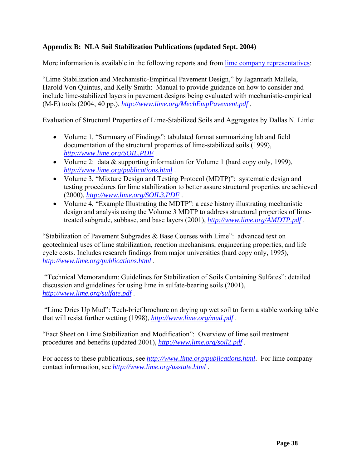## <span id="page-37-0"></span>**Appendix B: NLA Soil Stabilization Publications (updated Sept. 2004)**

More information is available in the following reports and from [lime company representatives:](http://www.lime.org/usstate.html)

"Lime Stabilization and Mechanistic-Empirical Pavement Design," by Jagannath Mallela, Harold Von Quintus, and Kelly Smith: Manual to provide guidance on how to consider and include lime-stabilized layers in pavement designs being evaluated with mechanistic-empirical (M-E) tools (2004, 40 pp.), *<http://www.lime.org/MechEmpPavement.pdf>* .

Evaluation of Structural Properties of Lime-Stabilized Soils and Aggregates by Dallas N. Little:

- Volume 1, "Summary of Findings": tabulated format summarizing lab and field documentation of the structural properties of lime-stabilized soils (1999), *<http://www.lime.org/SOIL.PDF>* .
- Volume 2: data & supporting information for Volume 1 (hard copy only, 1999), *<http://www.lime.org/publications.html>* .
- Volume 3, "Mixture Design and Testing Protocol (MDTP)": systematic design and testing procedures for lime stabilization to better assure structural properties are achieved (2000), *<http://www.lime.org/SOIL3.PDF>* .
- Volume 4, "Example Illustrating the MDTP": a case history illustrating mechanistic design and analysis using the Volume 3 MDTP to address structural properties of limetreated subgrade, subbase, and base layers (2001), *<http://www.lime.org/AMDTP.pdf>* .

"Stabilization of Pavement Subgrades & Base Courses with Lime": advanced text on geotechnical uses of lime stabilization, reaction mechanisms, engineering properties, and life cycle costs. Includes research findings from major universities (hard copy only, 1995), *<http://www.lime.org/publications.html>* .

 "Technical Memorandum: Guidelines for Stabilization of Soils Containing Sulfates": detailed discussion and guidelines for using lime in sulfate-bearing soils (2001), *<http://www.lime.org/sulfate.pdf>* .

 "Lime Dries Up Mud": Tech-brief brochure on drying up wet soil to form a stable working table that will resist further wetting (1998), *<http://www.lime.org/mud.pdf>* .

"Fact Sheet on Lime Stabilization and Modification": Overview of lime soil treatment procedures and benefits (updated 2001), *<http://www.lime.org/soil2.pdf>* .

For access to these publications, see *<http://www.lime.org/publications.html>*. For lime company contact information, see *<http://www.lime.org/usstate.html>* .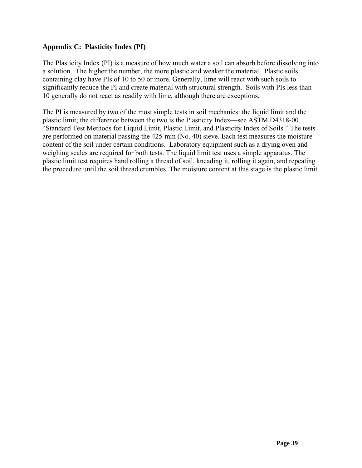## <span id="page-38-0"></span>**Appendix C: Plasticity Index (PI)**

The Plasticity Index (PI) is a measure of how much water a soil can absorb before dissolving into a solution. The higher the number, the more plastic and weaker the material. Plastic soils containing clay have PIs of 10 to 50 or more. Generally, lime will react with such soils to significantly reduce the PI and create material with structural strength. Soils with PIs less than 10 generally do not react as readily with lime, although there are exceptions.

The PI is measured by two of the most simple tests in soil mechanics: the liquid limit and the plastic limit; the difference between the two is the Plasticity Index—see ASTM D4318-00 "Standard Test Methods for Liquid Limit, Plastic Limit, and Plasticity Index of Soils." The tests are performed on material passing the 425-mm (No. 40) sieve. Each test measures the moisture content of the soil under certain conditions. Laboratory equipment such as a drying oven and weighing scales are required for both tests. The liquid limit test uses a simple apparatus. The plastic limit test requires hand rolling a thread of soil, kneading it, rolling it again, and repeating the procedure until the soil thread crumbles. The moisture content at this stage is the plastic limit.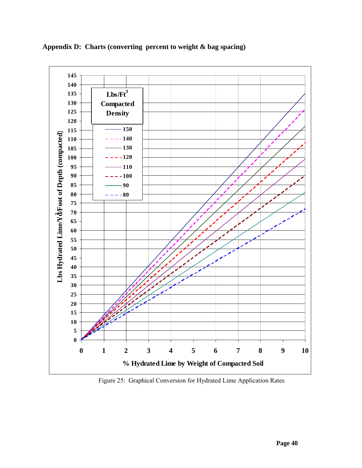

<span id="page-39-0"></span>**Appendix D: Charts (converting percent to weight & bag spacing)** 

Figure 25: Graphical Conversion for Hydrated Lime Application Rates